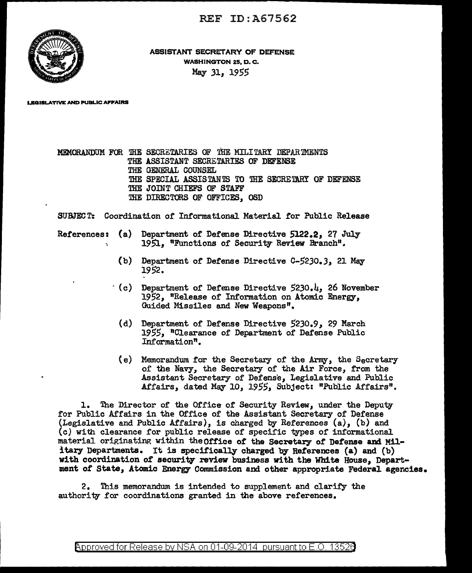REF ID:A67562



ASSISTANT SECRETARY OF DEFENSE WASHINGTON 25, D. C. May .31, *1955* 

LEGISLATIVE AND PUBLIC AFFAIRS

MEMORANDUM FOR THE SECRETARIES OF THE MILITARY DEPARTMENTS THE ASSISTANT SECRETARIES OF DEFENSE THE GENERAL COUNSEL THE SPECIAL ASSISTANTS TO THE SECRETARY OF DEFENSE THE JOINT CHIEFS OF STAFF THE DIRECTORS OF OFFICES, OSD

SUBJECT: Coordination or Informational Material for Public Release

- References: (a) Department of Defense Directive 5122.2, 27 July 1951, "Functions of Security Review Branch".
	- (b) Department of Defense Directive C-5230.3, 21 May 1952.
	- $( c )$  Department of Defense Directive 5230.4, 26 November 1952, "Release of Information on Atomic Energy, Guided Missiles and New Weapons".
		- (d) Department of Defense Directive 5230.9, 29 March *1955,,* "Clearance of Department of Defense Public Information".
		- (e) Memorandum for the Secretary of the Army, the Secretary of the Navy, the Secretary of the Air Force, from the Assistant Secretary of Defense, Legislative and Public Affairs, dated May 10, 1955, Subject: "Public Affairs".

1. The Director of the Office of Security Review, under the Deputy for Public Affairs in the Office of the Assistant Secretary of Defense (Legislative and Public Affairs), is charged by References  $(a)$ ,  $(b)$  and (c) with clearance for public release of specific types of informational material originating within theOffice of the Secretary of Defense and Military Departments. It is specifically charged by References (a) and (b) with coordination of security review business with the White House, Department of State, Atomic Energy Commission and other appropriate Federal agencies.

2. '!his memorandwn is intended to supplement and clarify the authority for coordinations granted in the above references.

<code>Approved</code> for Release by NSA on 01-09-2014 <code>pursuant</code> to E.O. 1352 $\theta$